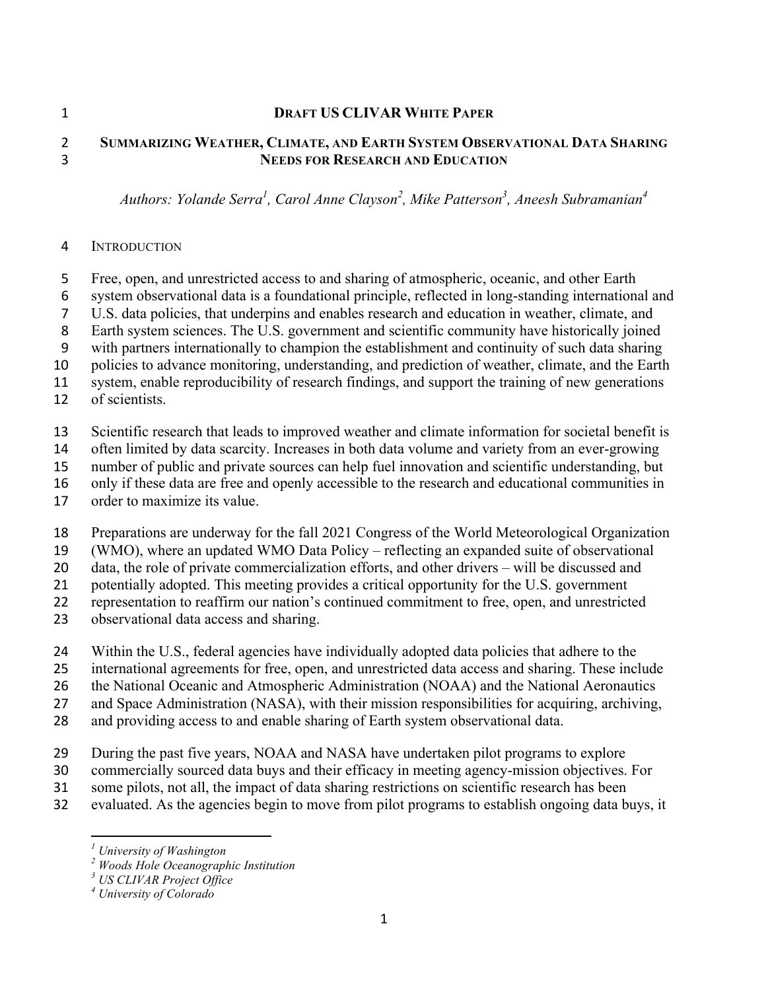#### **DRAFT US CLIVAR WHITE PAPER**

### **SUMMARIZING WEATHER, CLIMATE, AND EARTH SYSTEM OBSERVATIONAL DATA SHARING NEEDS FOR RESEARCH AND EDUCATION**

*Authors: Yolande Serra<sup>1</sup> , Carol Anne Clayson<sup>2</sup> , Mike Patterson3 , Aneesh Subramanian4*

### INTRODUCTION

- Free, open, and unrestricted access to and sharing of atmospheric, oceanic, and other Earth
- system observational data is a foundational principle, reflected in long-standing international and
- U.S. data policies, that underpins and enables research and education in weather, climate, and
- Earth system sciences. The U.S. government and scientific community have historically joined
- with partners internationally to champion the establishment and continuity of such data sharing
- policies to advance monitoring, understanding, and prediction of weather, climate, and the Earth
- system, enable reproducibility of research findings, and support the training of new generations
- of scientists.
- Scientific research that leads to improved weather and climate information for societal benefit is
- often limited by data scarcity. Increases in both data volume and variety from an ever-growing
- number of public and private sources can help fuel innovation and scientific understanding, but
- only if these data are free and openly accessible to the research and educational communities in
- order to maximize its value.
- Preparations are underway for the fall 2021 Congress of the World Meteorological Organization
- (WMO), where an updated WMO Data Policy reflecting an expanded suite of observational
- data, the role of private commercialization efforts, and other drivers will be discussed and
- potentially adopted. This meeting provides a critical opportunity for the U.S. government
- representation to reaffirm our nation's continued commitment to free, open, and unrestricted
- observational data access and sharing.
- Within the U.S., federal agencies have individually adopted data policies that adhere to the
- international agreements for free, open, and unrestricted data access and sharing. These include
- 26 the National Oceanic and Atmospheric Administration (NOAA) and the National Aeronautics
- and Space Administration (NASA), with their mission responsibilities for acquiring, archiving,
- and providing access to and enable sharing of Earth system observational data.
- During the past five years, NOAA and NASA have undertaken pilot programs to explore
- commercially sourced data buys and their efficacy in meeting agency-mission objectives. For
- some pilots, not all, the impact of data sharing restrictions on scientific research has been
- evaluated. As the agencies begin to move from pilot programs to establish ongoing data buys, it

 *<sup>1</sup> University of Washington*

*Woods Hole Oceanographic Institution*

*US CLIVAR Project Office*

*University of Colorado*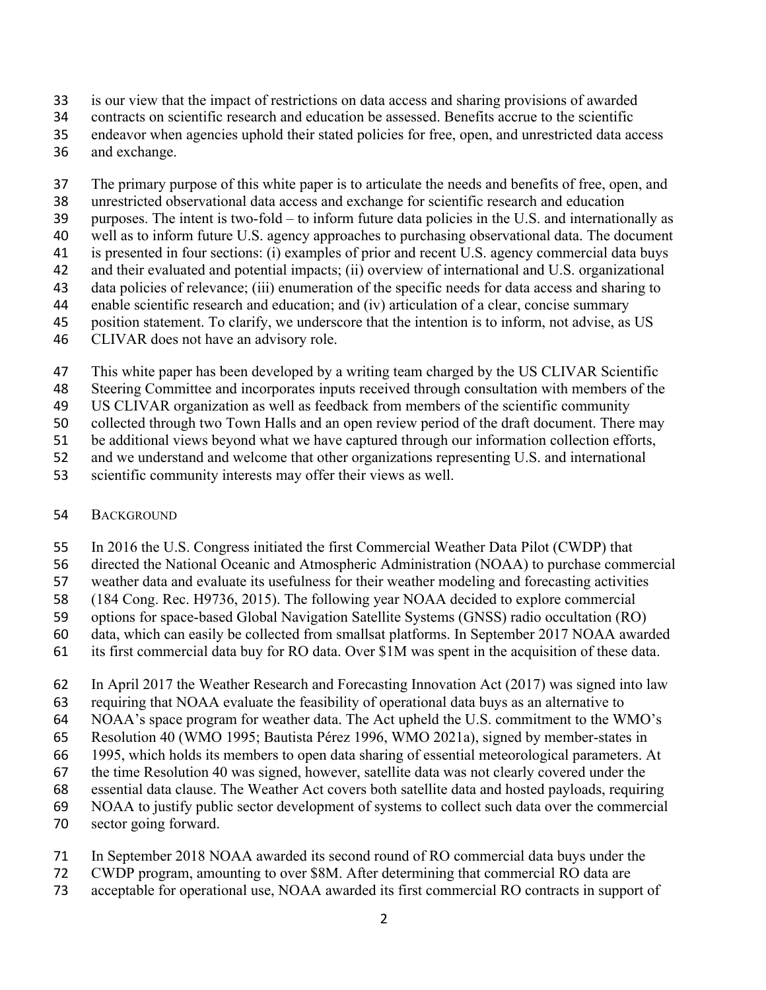- is our view that the impact of restrictions on data access and sharing provisions of awarded
- contracts on scientific research and education be assessed. Benefits accrue to the scientific
- endeavor when agencies uphold their stated policies for free, open, and unrestricted data access
- and exchange.

The primary purpose of this white paper is to articulate the needs and benefits of free, open, and

- unrestricted observational data access and exchange for scientific research and education
- purposes. The intent is two-fold to inform future data policies in the U.S. and internationally as
- well as to inform future U.S. agency approaches to purchasing observational data. The document
- is presented in four sections: (i) examples of prior and recent U.S. agency commercial data buys
- and their evaluated and potential impacts; (ii) overview of international and U.S. organizational data policies of relevance; (iii) enumeration of the specific needs for data access and sharing to
- enable scientific research and education; and (iv) articulation of a clear, concise summary
- position statement. To clarify, we underscore that the intention is to inform, not advise, as US
- CLIVAR does not have an advisory role.
- This white paper has been developed by a writing team charged by the US CLIVAR Scientific
- Steering Committee and incorporates inputs received through consultation with members of the
- US CLIVAR organization as well as feedback from members of the scientific community
- collected through two Town Halls and an open review period of the draft document. There may
- be additional views beyond what we have captured through our information collection efforts,
- and we understand and welcome that other organizations representing U.S. and international
- scientific community interests may offer their views as well.
- BACKGROUND
- In 2016 the U.S. Congress initiated the first Commercial Weather Data Pilot (CWDP) that
- directed the National Oceanic and Atmospheric Administration (NOAA) to purchase commercial
- weather data and evaluate its usefulness for their weather modeling and forecasting activities
- (184 Cong. Rec. H9736, 2015). The following year NOAA decided to explore commercial
- options for space-based Global Navigation Satellite Systems (GNSS) radio occultation (RO)
- data, which can easily be collected from smallsat platforms. In September 2017 NOAA awarded
- its first commercial data buy for RO data. Over \$1M was spent in the acquisition of these data.
- In April 2017 the Weather Research and Forecasting Innovation Act (2017) was signed into law
- requiring that NOAA evaluate the feasibility of operational data buys as an alternative to
- NOAA's space program for weather data. The Act upheld the U.S. commitment to the WMO's
- Resolution 40 (WMO 1995; Bautista Pérez 1996, WMO 2021a), signed by member-states in
- 1995, which holds its members to open data sharing of essential meteorological parameters. At
- the time Resolution 40 was signed, however, satellite data was not clearly covered under the
- essential data clause. The Weather Act covers both satellite data and hosted payloads, requiring
- NOAA to justify public sector development of systems to collect such data over the commercial
- sector going forward.
- In September 2018 NOAA awarded its second round of RO commercial data buys under the
- CWDP program, amounting to over \$8M. After determining that commercial RO data are
- acceptable for operational use, NOAA awarded its first commercial RO contracts in support of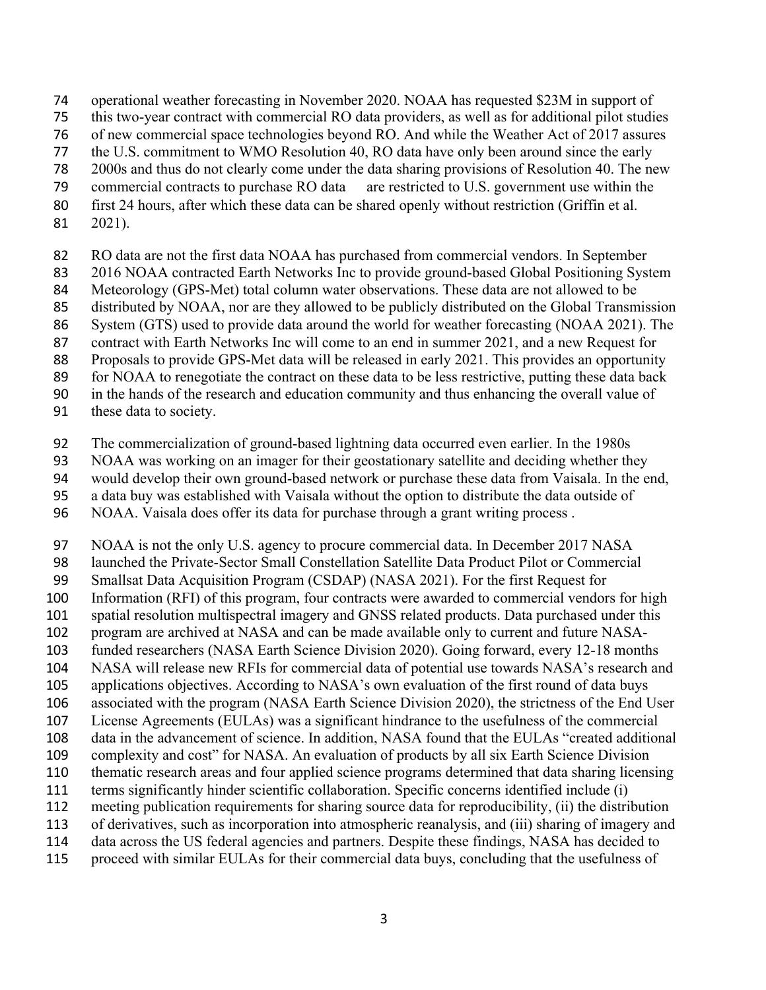- operational weather forecasting in November 2020. NOAA has requested \$23M in support of
- this two-year contract with commercial RO data providers, as well as for additional pilot studies
- of new commercial space technologies beyond RO. And while the Weather Act of 2017 assures
- the U.S. commitment to WMO Resolution 40, RO data have only been around since the early
- 2000s and thus do not clearly come under the data sharing provisions of Resolution 40. The new
- 79 commercial contracts to purchase RO data are restricted to U.S. government use within the
- first 24 hours, after which these data can be shared openly without restriction (Griffin et al.
- 2021).
- RO data are not the first data NOAA has purchased from commercial vendors. In September
- 2016 NOAA contracted Earth Networks Inc to provide ground-based Global Positioning System
- Meteorology (GPS-Met) total column water observations. These data are not allowed to be
- distributed by NOAA, nor are they allowed to be publicly distributed on the Global Transmission
- System (GTS) used to provide data around the world for weather forecasting (NOAA 2021). The
- contract with Earth Networks Inc will come to an end in summer 2021, and a new Request for Proposals to provide GPS-Met data will be released in early 2021. This provides an opportunity
- 89 for NOAA to renegotiate the contract on these data to be less restrictive, putting these data back
- in the hands of the research and education community and thus enhancing the overall value of
- these data to society.
- The commercialization of ground-based lightning data occurred even earlier. In the 1980s
- NOAA was working on an imager for their geostationary satellite and deciding whether they
- would develop their own ground-based network or purchase these data from Vaisala. In the end,
- a data buy was established with Vaisala without the option to distribute the data outside of
- NOAA. Vaisala does offer its data for purchase through a grant writing process .
- NOAA is not the only U.S. agency to procure commercial data. In December 2017 NASA
- launched the Private-Sector Small Constellation Satellite Data Product Pilot or Commercial
- Smallsat Data Acquisition Program (CSDAP) (NASA 2021). For the first Request for
- Information (RFI) of this program, four contracts were awarded to commercial vendors for high
- spatial resolution multispectral imagery and GNSS related products. Data purchased under this
- program are archived at NASA and can be made available only to current and future NASA-funded researchers (NASA Earth Science Division 2020). Going forward, every 12-18 months
- NASA will release new RFIs for commercial data of potential use towards NASA's research and
- applications objectives. According to NASA's own evaluation of the first round of data buys
- associated with the program (NASA Earth Science Division 2020), the strictness of the End User
- License Agreements (EULAs) was a significant hindrance to the usefulness of the commercial
- data in the advancement of science. In addition, NASA found that the EULAs "created additional
- complexity and cost" for NASA. An evaluation of products by all six Earth Science Division
- thematic research areas and four applied science programs determined that data sharing licensing
- terms significantly hinder scientific collaboration. Specific concerns identified include (i)
- meeting publication requirements for sharing source data for reproducibility, (ii) the distribution
- of derivatives, such as incorporation into atmospheric reanalysis, and (iii) sharing of imagery and
- data across the US federal agencies and partners. Despite these findings, NASA has decided to
- proceed with similar EULAs for their commercial data buys, concluding that the usefulness of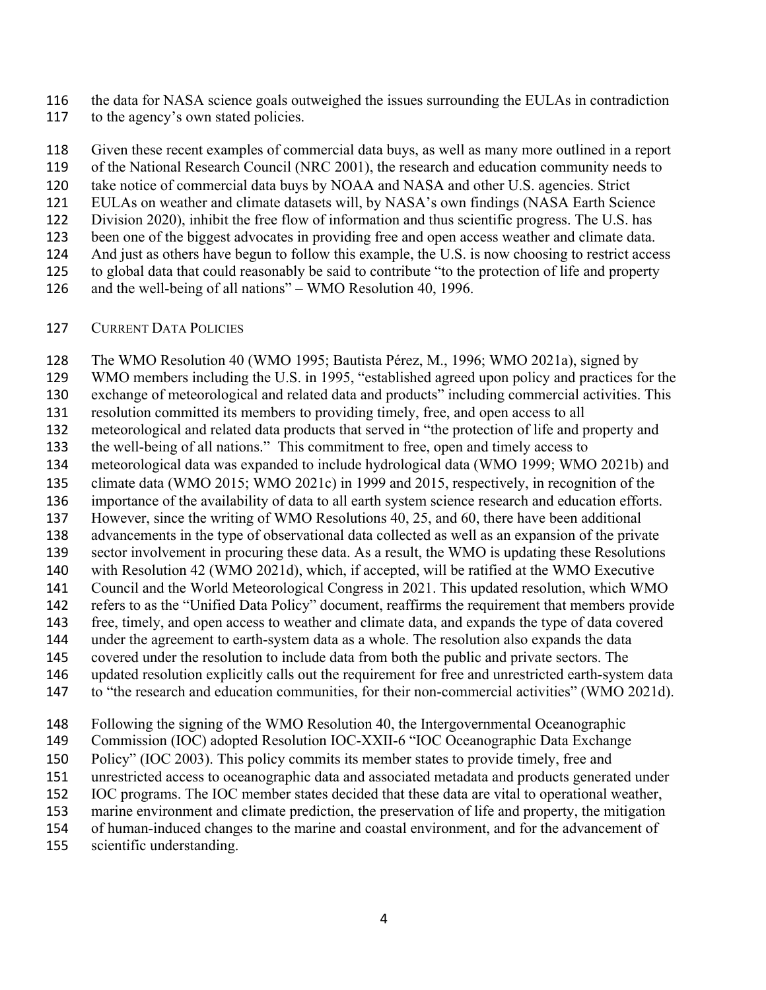the data for NASA science goals outweighed the issues surrounding the EULAs in contradiction

117 to the agency's own stated policies.

 Given these recent examples of commercial data buys, as well as many more outlined in a report of the National Research Council (NRC 2001), the research and education community needs to take notice of commercial data buys by NOAA and NASA and other U.S. agencies. Strict EULAs on weather and climate datasets will, by NASA's own findings (NASA Earth Science Division 2020), inhibit the free flow of information and thus scientific progress. The U.S. has been one of the biggest advocates in providing free and open access weather and climate data. And just as others have begun to follow this example, the U.S. is now choosing to restrict access to global data that could reasonably be said to contribute "to the protection of life and property and the well-being of all nations" – WMO Resolution 40, 1996.

### CURRENT DATA POLICIES

The WMO Resolution 40 (WMO 1995; Bautista Pérez, M., 1996; WMO 2021a), signed by

WMO members including the U.S. in 1995, "established agreed upon policy and practices for the

 exchange of meteorological and related data and products" including commercial activities. This resolution committed its members to providing timely, free, and open access to all

meteorological and related data products that served in "the protection of life and property and

the well-being of all nations." This commitment to free, open and timely access to

meteorological data was expanded to include hydrological data (WMO 1999; WMO 2021b) and

climate data (WMO 2015; WMO 2021c) in 1999 and 2015, respectively, in recognition of the

importance of the availability of data to all earth system science research and education efforts.

However, since the writing of WMO Resolutions 40, 25, and 60, there have been additional

advancements in the type of observational data collected as well as an expansion of the private

sector involvement in procuring these data. As a result, the WMO is updating these Resolutions

with Resolution 42 (WMO 2021d), which, if accepted, will be ratified at the WMO Executive

 Council and the World Meteorological Congress in 2021. This updated resolution, which WMO refers to as the "Unified Data Policy" document, reaffirms the requirement that members provide

free, timely, and open access to weather and climate data, and expands the type of data covered

under the agreement to earth-system data as a whole. The resolution also expands the data

covered under the resolution to include data from both the public and private sectors. The

updated resolution explicitly calls out the requirement for free and unrestricted earth-system data

to "the research and education communities, for their non-commercial activities" (WMO 2021d).

Following the signing of the WMO Resolution 40, the Intergovernmental Oceanographic

Commission (IOC) adopted Resolution IOC-XXII-6 "IOC Oceanographic Data Exchange

Policy" (IOC 2003). This policy commits its member states to provide timely, free and

unrestricted access to oceanographic data and associated metadata and products generated under

IOC programs. The IOC member states decided that these data are vital to operational weather,

marine environment and climate prediction, the preservation of life and property, the mitigation

of human-induced changes to the marine and coastal environment, and for the advancement of

scientific understanding.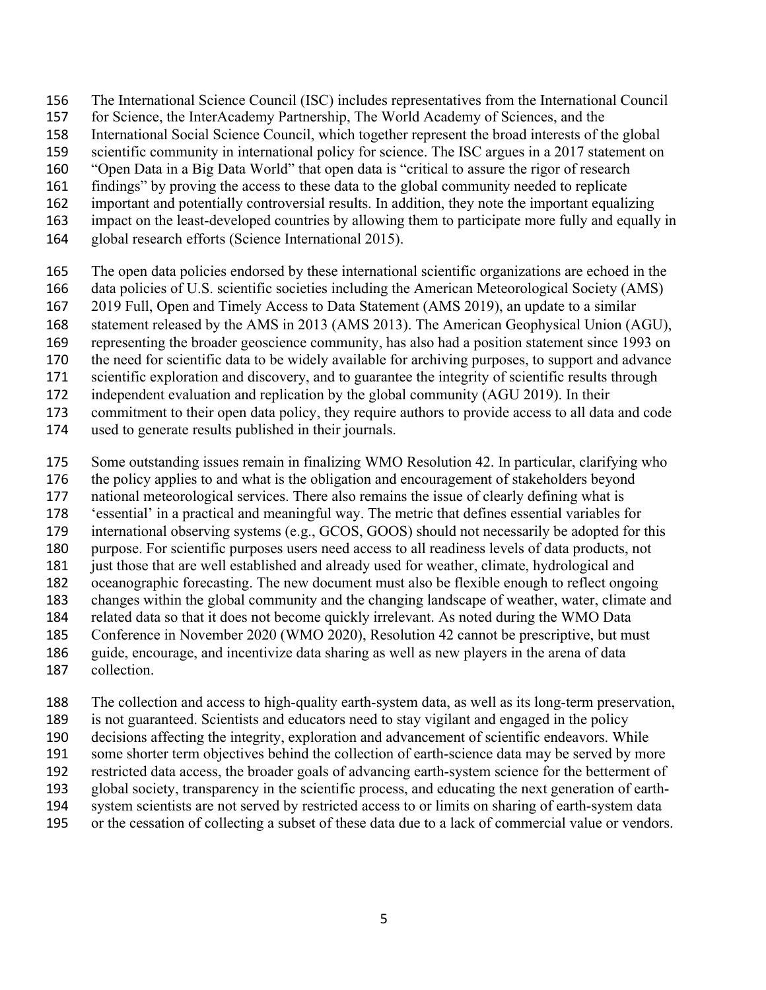- The International Science Council (ISC) includes representatives from the International Council
- for Science, the InterAcademy Partnership, The World Academy of Sciences, and the
- International Social Science Council, which together represent the broad interests of the global
- scientific community in international policy for science. The ISC argues in a 2017 statement on
- "Open Data in a Big Data World" that open data is "critical to assure the rigor of research
- findings" by proving the access to these data to the global community needed to replicate
- important and potentially controversial results. In addition, they note the important equalizing
- impact on the least-developed countries by allowing them to participate more fully and equally in
- global research efforts (Science International 2015).
- The open data policies endorsed by these international scientific organizations are echoed in the
- data policies of U.S. scientific societies including the American Meteorological Society (AMS)
- 2019 Full, Open and Timely Access to Data Statement (AMS 2019), an update to a similar
- statement released by the AMS in 2013 (AMS 2013). The American Geophysical Union (AGU),
- representing the broader geoscience community, has also had a position statement since 1993 on
- the need for scientific data to be widely available for archiving purposes, to support and advance
- scientific exploration and discovery, and to guarantee the integrity of scientific results through
- independent evaluation and replication by the global community (AGU 2019). In their
- commitment to their open data policy, they require authors to provide access to all data and code
- used to generate results published in their journals.
- Some outstanding issues remain in finalizing WMO Resolution 42. In particular, clarifying who
- the policy applies to and what is the obligation and encouragement of stakeholders beyond
- national meteorological services. There also remains the issue of clearly defining what is
- 'essential' in a practical and meaningful way. The metric that defines essential variables for
- international observing systems (e.g., GCOS, GOOS) should not necessarily be adopted for this
- purpose. For scientific purposes users need access to all readiness levels of data products, not
- just those that are well established and already used for weather, climate, hydrological and
- oceanographic forecasting. The new document must also be flexible enough to reflect ongoing
- changes within the global community and the changing landscape of weather, water, climate and
- related data so that it does not become quickly irrelevant. As noted during the WMO Data Conference in November 2020 (WMO 2020), Resolution 42 cannot be prescriptive, but must
- guide, encourage, and incentivize data sharing as well as new players in the arena of data
- collection.
- The collection and access to high-quality earth-system data, as well as its long-term preservation,
- is not guaranteed. Scientists and educators need to stay vigilant and engaged in the policy
- decisions affecting the integrity, exploration and advancement of scientific endeavors. While
- some shorter term objectives behind the collection of earth-science data may be served by more
- restricted data access, the broader goals of advancing earth-system science for the betterment of
- global society, transparency in the scientific process, and educating the next generation of earth-
- system scientists are not served by restricted access to or limits on sharing of earth-system data
- or the cessation of collecting a subset of these data due to a lack of commercial value or vendors.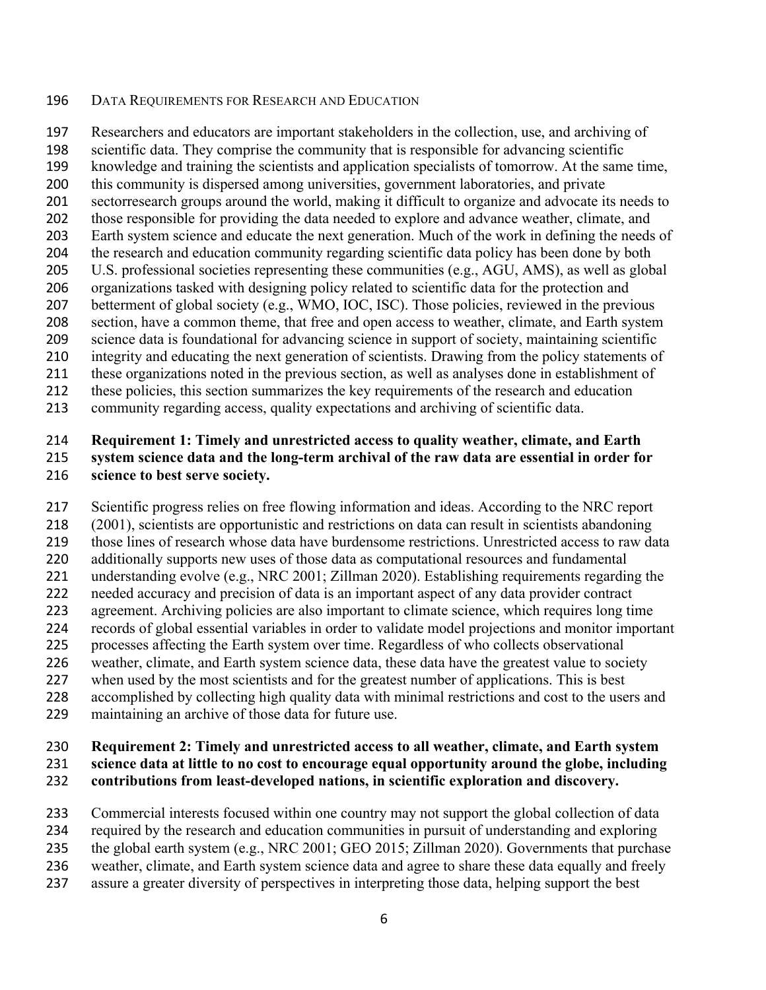### DATA REQUIREMENTS FOR RESEARCH AND EDUCATION

 Researchers and educators are important stakeholders in the collection, use, and archiving of scientific data. They comprise the community that is responsible for advancing scientific knowledge and training the scientists and application specialists of tomorrow. At the same time, this community is dispersed among universities, government laboratories, and private sectorresearch groups around the world, making it difficult to organize and advocate its needs to those responsible for providing the data needed to explore and advance weather, climate, and Earth system science and educate the next generation. Much of the work in defining the needs of the research and education community regarding scientific data policy has been done by both U.S. professional societies representing these communities (e.g., AGU, AMS), as well as global organizations tasked with designing policy related to scientific data for the protection and betterment of global society (e.g., WMO, IOC, ISC). Those policies, reviewed in the previous section, have a common theme, that free and open access to weather, climate, and Earth system science data is foundational for advancing science in support of society, maintaining scientific integrity and educating the next generation of scientists. Drawing from the policy statements of these organizations noted in the previous section, as well as analyses done in establishment of these policies, this section summarizes the key requirements of the research and education community regarding access, quality expectations and archiving of scientific data.

### **Requirement 1: Timely and unrestricted access to quality weather, climate, and Earth system science data and the long-term archival of the raw data are essential in order for science to best serve society.**

 Scientific progress relies on free flowing information and ideas. According to the NRC report (2001), scientists are opportunistic and restrictions on data can result in scientists abandoning those lines of research whose data have burdensome restrictions. Unrestricted access to raw data additionally supports new uses of those data as computational resources and fundamental understanding evolve (e.g., NRC 2001; Zillman 2020). Establishing requirements regarding the needed accuracy and precision of data is an important aspect of any data provider contract agreement. Archiving policies are also important to climate science, which requires long time records of global essential variables in order to validate model projections and monitor important processes affecting the Earth system over time. Regardless of who collects observational weather, climate, and Earth system science data, these data have the greatest value to society 227 when used by the most scientists and for the greatest number of applications. This is best accomplished by collecting high quality data with minimal restrictions and cost to the users and maintaining an archive of those data for future use.

### **Requirement 2: Timely and unrestricted access to all weather, climate, and Earth system science data at little to no cost to encourage equal opportunity around the globe, including contributions from least-developed nations, in scientific exploration and discovery.**

 Commercial interests focused within one country may not support the global collection of data required by the research and education communities in pursuit of understanding and exploring the global earth system (e.g., NRC 2001; GEO 2015; Zillman 2020). Governments that purchase weather, climate, and Earth system science data and agree to share these data equally and freely assure a greater diversity of perspectives in interpreting those data, helping support the best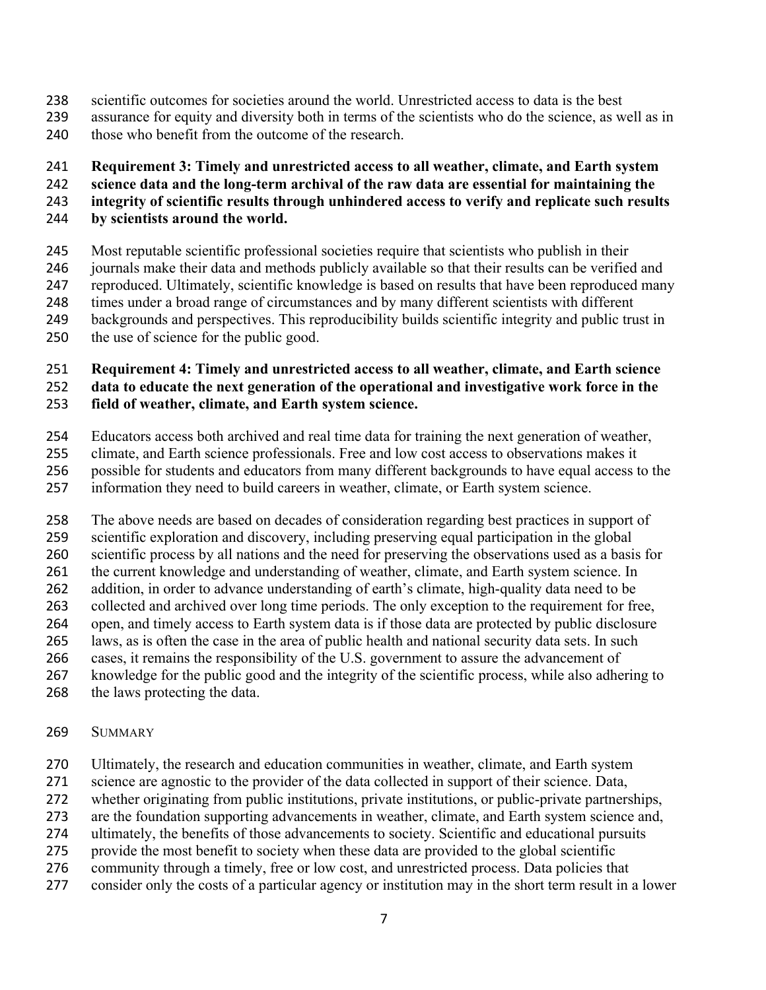- scientific outcomes for societies around the world. Unrestricted access to data is the best
- assurance for equity and diversity both in terms of the scientists who do the science, as well as in 240 those who benefit from the outcome of the research.
- 

# **Requirement 3: Timely and unrestricted access to all weather, climate, and Earth system**

# **science data and the long-term archival of the raw data are essential for maintaining the**

**integrity of scientific results through unhindered access to verify and replicate such results** 

- **by scientists around the world.**
- Most reputable scientific professional societies require that scientists who publish in their journals make their data and methods publicly available so that their results can be verified and reproduced. Ultimately, scientific knowledge is based on results that have been reproduced many times under a broad range of circumstances and by many different scientists with different backgrounds and perspectives. This reproducibility builds scientific integrity and public trust in the use of science for the public good.
- **Requirement 4: Timely and unrestricted access to all weather, climate, and Earth science**

# **data to educate the next generation of the operational and investigative work force in the**

# **field of weather, climate, and Earth system science.**

- Educators access both archived and real time data for training the next generation of weather,
- climate, and Earth science professionals. Free and low cost access to observations makes it
- possible for students and educators from many different backgrounds to have equal access to the
- information they need to build careers in weather, climate, or Earth system science.
- The above needs are based on decades of consideration regarding best practices in support of scientific exploration and discovery, including preserving equal participation in the global scientific process by all nations and the need for preserving the observations used as a basis for the current knowledge and understanding of weather, climate, and Earth system science. In addition, in order to advance understanding of earth's climate, high-quality data need to be collected and archived over long time periods. The only exception to the requirement for free, open, and timely access to Earth system data is if those data are protected by public disclosure laws, as is often the case in the area of public health and national security data sets. In such cases, it remains the responsibility of the U.S. government to assure the advancement of knowledge for the public good and the integrity of the scientific process, while also adhering to
- the laws protecting the data.

## SUMMARY

- Ultimately, the research and education communities in weather, climate, and Earth system
- science are agnostic to the provider of the data collected in support of their science. Data,
- whether originating from public institutions, private institutions, or public-private partnerships,
- are the foundation supporting advancements in weather, climate, and Earth system science and,
- ultimately, the benefits of those advancements to society. Scientific and educational pursuits
- provide the most benefit to society when these data are provided to the global scientific
- community through a timely, free or low cost, and unrestricted process. Data policies that
- consider only the costs of a particular agency or institution may in the short term result in a lower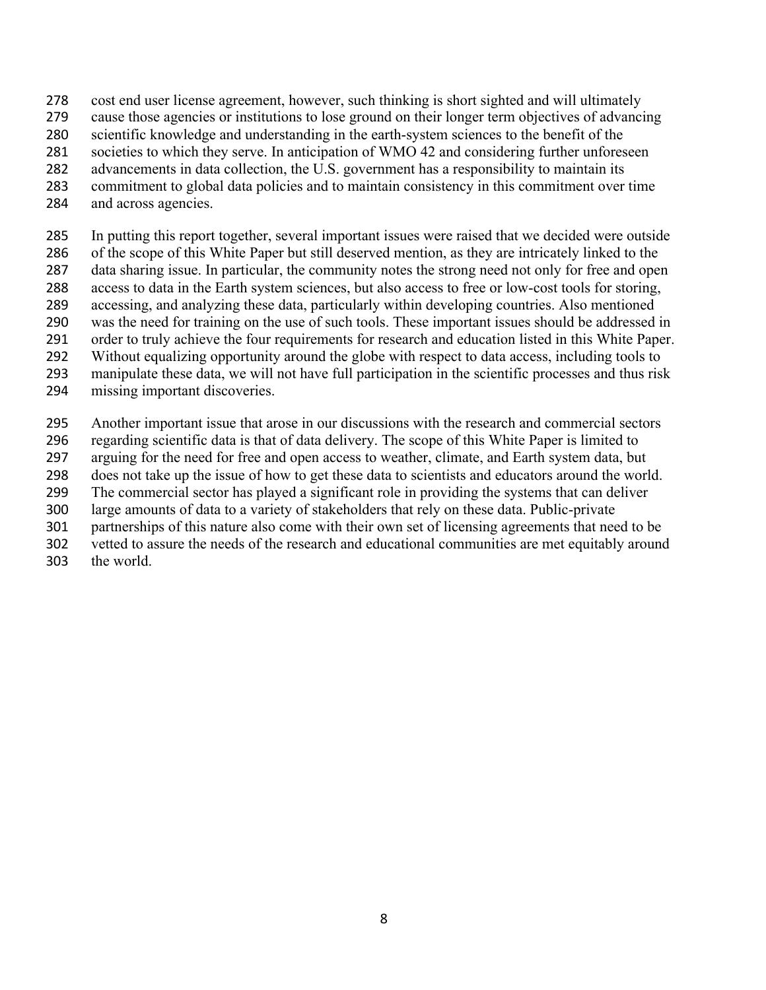- cost end user license agreement, however, such thinking is short sighted and will ultimately
- cause those agencies or institutions to lose ground on their longer term objectives of advancing
- scientific knowledge and understanding in the earth-system sciences to the benefit of the
- societies to which they serve. In anticipation of WMO 42 and considering further unforeseen
- advancements in data collection, the U.S. government has a responsibility to maintain its
- commitment to global data policies and to maintain consistency in this commitment over time
- and across agencies.
- In putting this report together, several important issues were raised that we decided were outside of the scope of this White Paper but still deserved mention, as they are intricately linked to the data sharing issue. In particular, the community notes the strong need not only for free and open access to data in the Earth system sciences, but also access to free or low-cost tools for storing, accessing, and analyzing these data, particularly within developing countries. Also mentioned was the need for training on the use of such tools. These important issues should be addressed in order to truly achieve the four requirements for research and education listed in this White Paper. Without equalizing opportunity around the globe with respect to data access, including tools to manipulate these data, we will not have full participation in the scientific processes and thus risk
- missing important discoveries.
- Another important issue that arose in our discussions with the research and commercial sectors regarding scientific data is that of data delivery. The scope of this White Paper is limited to arguing for the need for free and open access to weather, climate, and Earth system data, but does not take up the issue of how to get these data to scientists and educators around the world. The commercial sector has played a significant role in providing the systems that can deliver large amounts of data to a variety of stakeholders that rely on these data. Public-private partnerships of this nature also come with their own set of licensing agreements that need to be vetted to assure the needs of the research and educational communities are met equitably around the world.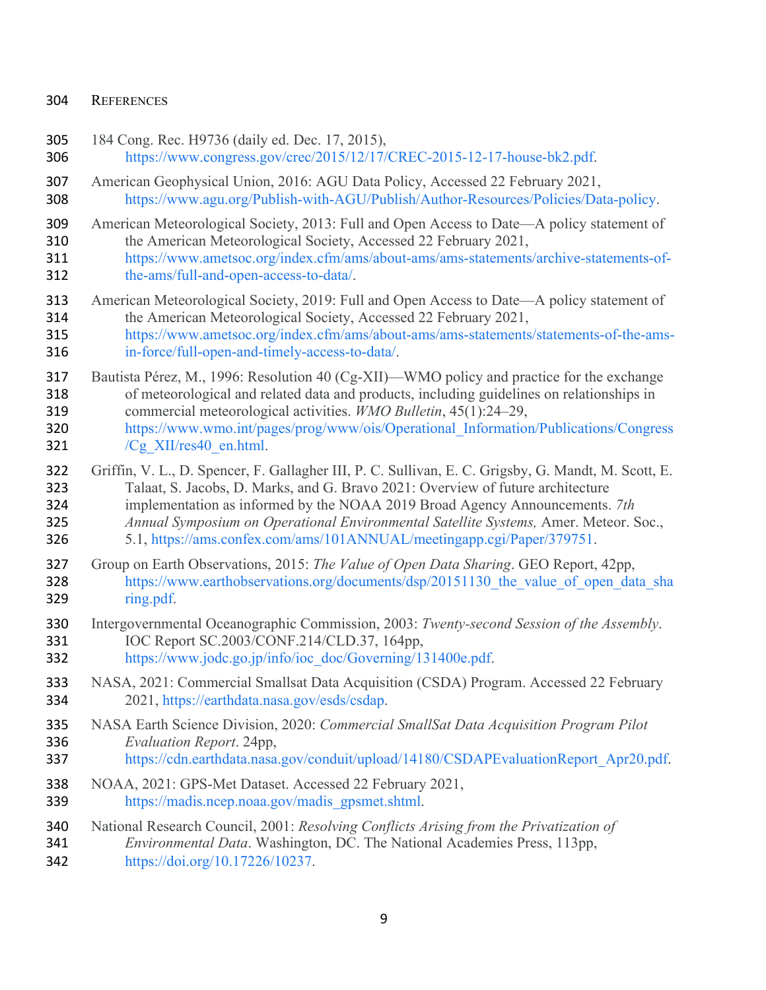### REFERENCES

- 184 Cong. Rec. H9736 (daily ed. Dec. 17, 2015),
- https://www.congress.gov/crec/2015/12/17/CREC-2015-12-17-house-bk2.pdf.
- American Geophysical Union, 2016: AGU Data Policy, Accessed 22 February 2021, https://www.agu.org/Publish-with-AGU/Publish/Author-Resources/Policies/Data-policy.
- American Meteorological Society, 2013: Full and Open Access to Date—A policy statement of the American Meteorological Society, Accessed 22 February 2021,
- https://www.ametsoc.org/index.cfm/ams/about-ams/ams-statements/archive-statements-of-the-ams/full-and-open-access-to-data/.
- American Meteorological Society, 2019: Full and Open Access to Date—A policy statement of the American Meteorological Society, Accessed 22 February 2021,
- https://www.ametsoc.org/index.cfm/ams/about-ams/ams-statements/statements-of-the-ams-
- in-force/full-open-and-timely-access-to-data/.
- Bautista Pérez, M., 1996: Resolution 40 (Cg-XII)—WMO policy and practice for the exchange of meteorological and related data and products, including guidelines on relationships in commercial meteorological activities. *WMO Bulletin*, 45(1):24–29,
- https://www.wmo.int/pages/prog/www/ois/Operational\_Information/Publications/Congress 321  $/Cg$  XII/res40 en.html.
- Griffin, V. L., D. Spencer, F. Gallagher III, P. C. Sullivan, E. C. Grigsby, G. Mandt, M. Scott, E. Talaat, S. Jacobs, D. Marks, and G. Bravo 2021: Overview of future architecture
- implementation as informed by the NOAA 2019 Broad Agency Announcements. *7th*
- *Annual Symposium on Operational Environmental Satellite Systems,* Amer. Meteor. Soc.,
- 5.1, https://ams.confex.com/ams/101ANNUAL/meetingapp.cgi/Paper/379751.
- Group on Earth Observations, 2015: *The Value of Open Data Sharing*. GEO Report, 42pp, 328 https://www.earthobservations.org/documents/dsp/20151130 the value of open data sha ring.pdf.
- Intergovernmental Oceanographic Commission, 2003: *Twenty-second Session of the Assembly*. IOC Report SC.2003/CONF.214/CLD.37, 164pp,
- https://www.jodc.go.jp/info/ioc\_doc/Governing/131400e.pdf.
- NASA, 2021: Commercial Smallsat Data Acquisition (CSDA) Program. Accessed 22 February 2021, https://earthdata.nasa.gov/esds/csdap.
- NASA Earth Science Division, 2020: *Commercial SmallSat Data Acquisition Program Pilot Evaluation Report*. 24pp,
- 337 https://cdn.earthdata.nasa.gov/conduit/upload/14180/CSDAPEvaluationReport\_Apr20.pdf.
- NOAA, 2021: GPS-Met Dataset. Accessed 22 February 2021, https://madis.ncep.noaa.gov/madis\_gpsmet.shtml.
- National Research Council, 2001: *Resolving Conflicts Arising from the Privatization of Environmental Data*. Washington, DC. The National Academies Press, 113pp, https://doi.org/10.17226/10237.